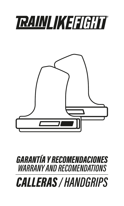# **TRAINLIKEFIGHT**



## *GARANTÍA Y RECOMENDACIONES WARRANY AND RECOMENDATIONS*

*CALLERAS /HANDGRIPS*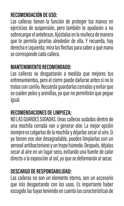#### **RECOMENDACIÓN DE USO:**

Las calleras tienen la función de proteger tus manos en ejercicios de suspensión, pero también te ayudarán a no sobrecargar el antebrazo. Ajústalas en la muñeca de manera que te permita girarlas alrededor de ella. Y recuerda, hay derecha e izquierda; mira las flechas para saber a qué mano se corresponde cada callera.

#### **MANTENIMIENTO RECOMENDADO:**

Las calleras se desgastarán a medida que mejores tus entrenamientos, pero el cierre puede dañarse antes si no lo tratas con cariño. Recuerda guardarlas cerradas y evitar que se cuelen pelos y arenillas, ya que no permitirán que pegue igual.

#### **RECOMENDACIONES DE LIMPIEZA:**

NO LAS GUARDES SUDADAS. Unas calleras sudadas dentro de una mochila cerrada van a generar olor. La mejor opción siempre es colgarlas de la mochila y déjarlas secar al aire. Si ya tienen ese olor desagradable, puedes limpiarlas con un aerosol antibacteriano y un trapo húmedo. Después, déjalas secar al aire en un lugar seco, evitando una fuente de calor directo o la exposción al sol, ya que se deformarán al secar.

#### **DESCARGO DE RESPONSABILIDAD:**

Las calleras no son un elemento eterno, son un accesorio que irás desgastando con los usos. Es importante haber escogido las tuyas teniendo en cuenta las características de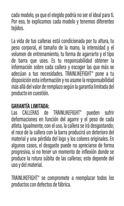cada modelo, ya que el elegido podría no ser el ideal para ti. Por eso, te explicamos cada modelo y tenemos diferentes tejidos.

La vida de tus calleras está condicionada por tu altura, tu peso corporal, el tamaño de la mano, la intensidad y el volumen de entrenamiento, tu forma de agarrarte y el tipo de barra que uses. Es tu responsabilidad obtener la información sobre cada callera y escoger las que más se adecúan a tus necesidades. TRAINLIKEFIGHT® pone a tu disposición esta información y no asume la responsabilidad más allá del valor de remplazo según la garantía limitada del producto en cuestión.

#### **GARANTÍA LIMITADA:**

Las CALLERAS de TRAINLIKEFIGHT® pueden sufrir deformaciones en función del agarre y el peso de cada atleta. Igualmente, con el uso, la callera se irá desgastando; el roce de la callera con la barra producirá un deterioro del material y una pérdida del logo y los colores originales. En algunos casos, el desgaste puede no apreciarse de forma progresiva, si no tener un momento de inflexión donde se produce la rotura súbita de las calleras; esto depende del uso y del material.

TRAINLIKEFIGHT® se compromete a reemplazar todos los productos con defectos de fábrica.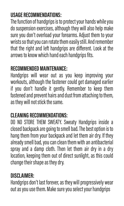#### **USAGE RECOMMENDATIONS:**

The function of handgrips is to protect your hands while you do suspension exercises, although they will also help make sure you don't overload your forearms. Adjust them to your wrists so that you can rotate them easily still. And remember that the right and left handgrips are different. Look at the arrows to know which hand each handgrips fits.

#### **RECOMMENDED MAINTENANCE:**

Handgrips will wear out as you keep improving your workouts, although the fastener could get damaged earlier if you don't handle it gently. Remember to keep them fastened and prevent hairs and dust from attaching to them, as they will not stick the same.

#### **CLEANING RECOMMENDATIONS:**

DO NO STORE THEM SWEATY. Sweaty Handgrips inside a closed backpack are going to smell bad. The best option is to hang them from your backpack and let them air dry. If they already smell bad, you can clean them with an antibacterial spray and a damp cloth. Then let them air dry in a dry location, keeping them out of direct sunlight, as this could change their shape as they dry.

#### **DISCLAIMER:**

Handgrips don't last forever, as they will progressively wear out as you use them. Make sure you select your handgrips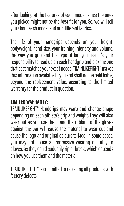after looking at the features of each model, since the ones you picked might not be the best fit for you. So, we will tell you about each model and our different fabrics.

The life of your handgrips depends on your height, bodyweight, hand size, your training intensity and volume, the way you grip and the type of bar you use. It's your responsibility to read up on each handgrip and pick the one that best matches your exact needs. TRAINLIKEFIGHT® makes this information available to you and shall not be held liable, beyond the replacement value, according to the limited warranty for the product in question.

#### **LIMITED WARRANTY:**

TRAINLIKEFIGHT® Handgrips may warp and change shape depending on each athlete's grip and weight. They will also wear out as you use them, and the rubbing of the gloves against the bar will cause the material to wear out and cause the logo and original colours to fade. In some cases, you may not notice a progressive wearing out of your gloves, as they could suddenly rip or break, which depends on how you use them and the material.

TRAINLIKEFIGHT® is committed to replacing all products with factory defects.